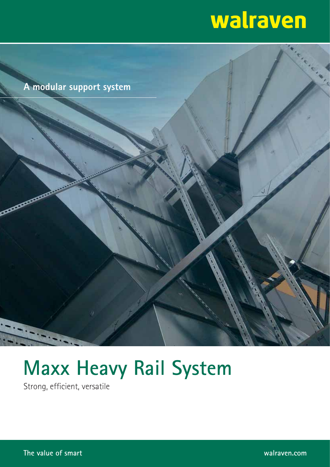# **Walraven**



# **Maxx Heavy Rail System**

Strong, efficient, versatile

**The value of smart walraven.com**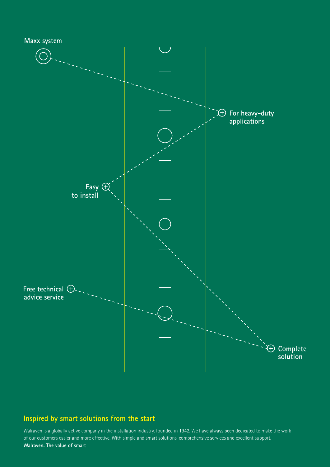

## **Inspired by smart solutions from the start**

Walraven is a globally active company in the installation industry, founded in 1942. We have always been dedicated to make the work of our customers easier and more effective. With simple and smart solutions, comprehensive services and excellent support. **Walraven. The value of smart**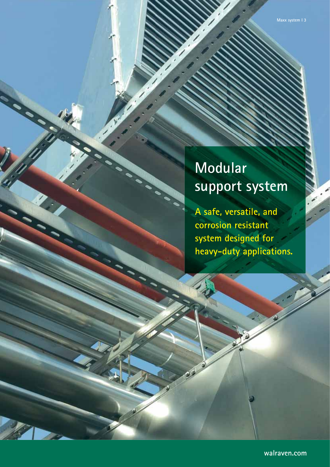# **Modular support system**

**A safe, versatile, and corrosion resistant system designed for heavy-duty applications.**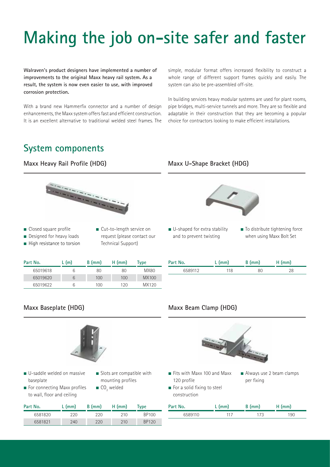# **Making the job on-site safer and faster**

**Walraven's product designers have implemented a number of improvements to the original Maxx heavy rail system. As a result, the system is now even easier to use, with improved corrosion protection.**

With a brand new Hammerfix connector and a number of design enhancements, the Maxx system offers fast and efficient construction. It is an excellent alternative to traditional welded steel frames. The simple, modular format offers increased flexibility to construct a whole range of different support frames quickly and easily. The system can also be pre-assembled off-site.

In building services heavy modular systems are used for plant rooms, pipe bridges, multi-service tunnels and more. They are so flexible and adaptable in their construction that they are becoming a popular choice for contractors looking to make efficient installations.

# **System components**

## **Maxx Heavy Rail Profile (HDG)**



- Closed square profile
- Cut-to-length service on
- Designed for heavy loads ■ High resistance to torsion
- request (please contact our Technical Support)

| Part No. | L (m) | $B$ (mm) | $H$ (mm) | Type  |
|----------|-------|----------|----------|-------|
| 65019618 | b     | 80       | 80       | MX80  |
| 65019620 | 6     | 100      | 100      | MX100 |
| 65019622 | b     | 100      | 120      | MX120 |

## **Maxx U-Shape Bracket (HDG)**



- U-shaped for extra stability and to prevent twisting
- To distribute tightening force when using Maxx Bolt Set

| Part No. | $L$ (mm) | $B$ (mm) | $H$ (mm) |
|----------|----------|----------|----------|
| 6589112  | 118      | 80       |          |
|          |          |          |          |

### Maxx Baseplate (HDG) Maxx Beam Clamp (HDG)



- U-saddle welded on massive baseplate
- Slots are compatible with mounting profiles
- $\blacksquare$  For connecting Maxx profiles to wall, floor and ceiling
- 
- $\blacksquare$  CO<sub>2</sub> welded



- Fits with Maxx 100 and Maxx 120 profile
- construction



- $\blacksquare$  For a solid fixing to steel
- 

| per fixing |  |
|------------|--|
|            |  |
|            |  |

| Part No. | $L$ (mm) | $B$ (mm) | $H$ (mm) | Type  |
|----------|----------|----------|----------|-------|
| 6581820  | 220      | 220      | 210      | BP100 |
| 6581821  | 240      | 220      | 210      | BP120 |

| Part No. | $L$ (mm) | B (mm) | $H$ (mm) |
|----------|----------|--------|----------|
| 6589110  | 117      | 173    | 190      |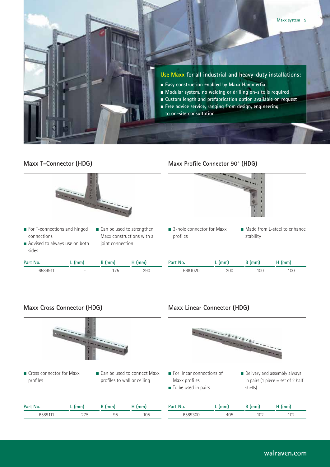



- For T-connections and hinged connections
- Advised to always use on both sides
- Can be used to strengthen Maxx constructions with a joint connection

| Part No. | $L$ (mm) | $B$ (mm) | $H$ (mm) |
|----------|----------|----------|----------|
| 6589911  | -        | 175      | 290      |

### **Maxx T-Connector (HDG) Maxx Profile Connector 90° (HDG)**



- 3-hole connector for Maxx profiles
- Made from L-steel to enhance stability

| Part No. | $L$ (mm) | $B$ (mm) | $H$ (mm) |
|----------|----------|----------|----------|
| 6681020  | 200      | 100      | 100      |

### Maxx Cross Connector (HDG) Maxx Linear Connector (HDG)



- Cross connector for Maxx profiles
- Can be used to connect Maxx
	- profiles to wall or ceiling



| Part No. | (mm)                 | <i>Imm</i> | (mm              | Part No. | $\mathsf{m}\mathsf{m}$ | mm'                    | lmm |
|----------|----------------------|------------|------------------|----------|------------------------|------------------------|-----|
| 658911   | ヘフロ<br>$\sim$ 1<br>ູ | QΓ<br>ں ر  | $1\cap E$<br>טטו |          | .<br>rvJ               | 10 <sup>1</sup><br>∣∪∠ | ∣∪∠ |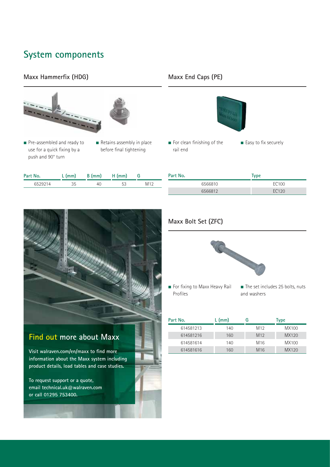# **System components**

## **Maxx Hammerfix (HDG)**



- Pre-assembled and ready to use for a quick fixing by a push and 90° turn
- Retains assembly in place before final tightening

| Part No. | L (mm) | B (mm) | $H$ (mm) |      |
|----------|--------|--------|----------|------|
| 6529214  |        | 40     |          | M 10 |

## **Maxx End Caps (PE)**



■ For clean finishing of the rail end

| Part No. | Type  |  |
|----------|-------|--|
| 6566810  | EC100 |  |
| 6566812  | EC120 |  |

■ Easy to fix securely

## **Maxx Bolt Set (ZFC)**



- For fixing to Maxx Heavy Rail Profiles
- The set includes 25 bolts, nuts and washers

| Part No.  | L (mm) |                 | Type  |
|-----------|--------|-----------------|-------|
| 614581213 | 140    | M <sub>12</sub> | MX100 |
| 614581216 | 160    | M <sub>12</sub> | MX120 |
| 614581614 | 140    | M <sub>16</sub> | MX100 |
| 614581616 | 160    | M <sub>16</sub> | MX120 |

## **Find out more about Maxx**

Visit walraven.com/en/maxx to find more **information about the Maxx system including product details, load tables and case studies.** 

**To request support or a quote, email technical.uk@walraven.com or call 01295 753400.**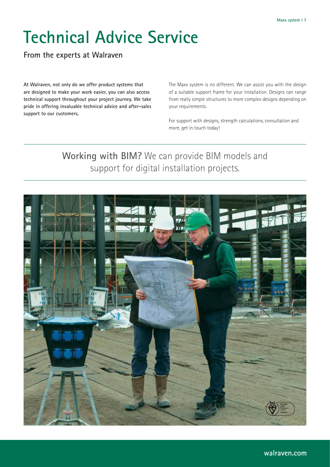# **Technical Advice Service**

**From the experts at Walraven**

**At Walraven, not only do we offer product systems that are designed to make your work easier, you can also access technical support throughout your project journey. We take pride in offering invaluable technical advice and after-sales support to our customers.**

The Maxx system is no different. We can assist you with the design of a suitable support frame for your installation. Designs can range from really simple structures to more complex designs depending on your requirements.

For support with designs, strength calculations, consultation and more, get in touch today!

# **Working with BIM?** We can provide BIM models and support for digital installation projects.